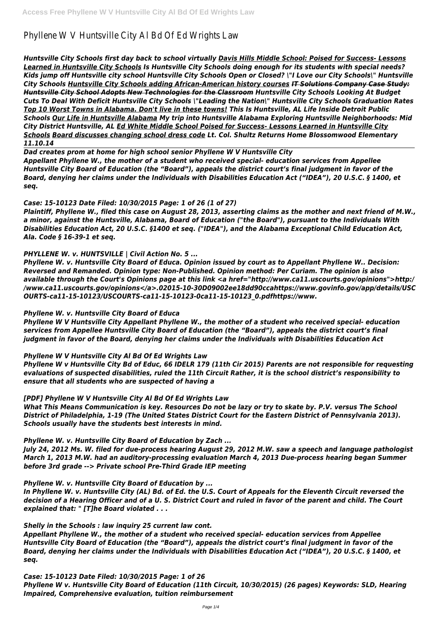# Phyllene W V Huntsville City Al Bd Of Ed Wrights Law

*Huntsville City Schools first day back to school virtually Davis Hills Middle School: Poised for Success- Lessons Learned in Huntsville City Schools Is Huntsville City Schools doing enough for its students with special needs? Kids jump off Huntsville city school Huntsville City Schools Open or Closed? \"I Love our City Schools\" Huntsville City Schools Huntsville City Schools adding African-American history courses IT Solutions Company Case Study: Huntsville City School Adopts New Technologies for the Classroom Huntsville City Schools Looking At Budget Cuts To Deal With Deficit Huntsville City Schools \"Leading the Nation\" Huntsville City Schools Graduation Rates Top 10 Worst Towns in Alabama. Don't live in these towns! This Is Huntsville, AL Life Inside Detroit Public Schools Our Life in Huntsville Alabama My trip into Huntsville Alabama Exploring Huntsville Neighborhoods: Mid City District Huntsville, AL Ed White Middle School Poised for Success- Lessons Learned in Huntsville City Schools Board discusses changing school dress code Lt. Col. Shultz Returns Home Blossomwood Elementary 11.10.14*

*Dad creates prom at home for high school senior Phyllene W V Huntsville City Appellant Phyllene W., the mother of a student who received special- education services from Appellee Huntsville City Board of Education (the "Board"), appeals the district court's final judgment in favor of the Board, denying her claims under the Individuals with Disabilities Education Act ("IDEA"), 20 U.S.C. § 1400, et seq.*

# *Case: 15-10123 Date Filed: 10/30/2015 Page: 1 of 26 (1 of 27)*

*Plaintiff, Phyllene W., filed this case on August 28, 2013, asserting claims as the mother and next friend of M.W., a minor, against the Huntsville, Alabama, Board of Education ("the Board"), pursuant to the Individuals With Disabilities Education Act, 20 U.S.C. §1400 et seq. ("IDEA"), and the Alabama Exceptional Child Education Act, Ala. Code § 16-39-1 et seq.*

#### *PHYLLENE W. v. HUNTSVILLE | Civil Action No. 5 ...*

*Phyllene W. v. Huntsville City Board of Educa. Opinion issued by court as to Appellant Phyllene W.. Decision: Reversed and Remanded. Opinion type: Non-Published. Opinion method: Per Curiam. The opinion is also available through the Court's Opinions page at this link <a href="http://www.ca11.uscourts.gov/opinions">http:/ /www.ca11.uscourts.gov/opinions</a>.02015-10-30D09002ee18dd90ccahttps://www.govinfo.gov/app/details/USC OURTS-ca11-15-10123/USCOURTS-ca11-15-10123-0ca11-15-10123\_0.pdfhttps://www.*

#### *Phyllene W. v. Huntsville City Board of Educa*

*Phyllene W V Huntsville City Appellant Phyllene W., the mother of a student who received special- education services from Appellee Huntsville City Board of Education (the "Board"), appeals the district court's final judgment in favor of the Board, denying her claims under the Individuals with Disabilities Education Act*

# *Phyllene W V Huntsville City Al Bd Of Ed Wrights Law*

*Phyllene W v Huntsville City Bd of Educ, 66 IDELR 179 (11th Cir 2015) Parents are not responsible for requesting evaluations of suspected disabilities, ruled the 11th Circuit Rather, it is the school district's responsibility to ensure that all students who are suspected of having a*

# *[PDF] Phyllene W V Huntsville City Al Bd Of Ed Wrights Law*

*What This Means Communication is key. Resources Do not be lazy or try to skate by. P.V. versus The School District of Philadelphia, 1-19 (The United States District Court for the Eastern District of Pennsylvania 2013). Schools usually have the students best interests in mind.*

# *Phyllene W. v. Huntsville City Board of Education by Zach ...*

*July 24, 2012 Ms. W. filed for due-process hearing August 29, 2012 M.W. saw a speech and language pathologist March 1, 2013 M.W. had an auditory-processing evaluation March 4, 2013 Due-process hearing began Summer before 3rd grade --> Private school Pre-Third Grade IEP meeting*

*Phyllene W. v. Huntsville City Board of Education by ...*

*In Phyllene W. v. Huntsville City (AL) Bd. of Ed. the U.S. Court of Appeals for the Eleventh Circuit reversed the decision of a Hearing Officer and of a U. S. District Court and ruled in favor of the parent and child. The Court explained that: " [T]he Board violated . . .*

*Shelly in the Schools : law inquiry 25 current law cont.*

*Appellant Phyllene W., the mother of a student who received special- education services from Appellee Huntsville City Board of Education (the "Board"), appeals the district court's final judgment in favor of the Board, denying her claims under the Individuals with Disabilities Education Act ("IDEA"), 20 U.S.C. § 1400, et seq.*

*Case: 15-10123 Date Filed: 10/30/2015 Page: 1 of 26*

*Phyllene W v. Huntsville City Board of Education (11th Circuit, 10/30/2015) (26 pages) Keywords: SLD, Hearing Impaired, Comprehensive evaluation, tuition reimbursement*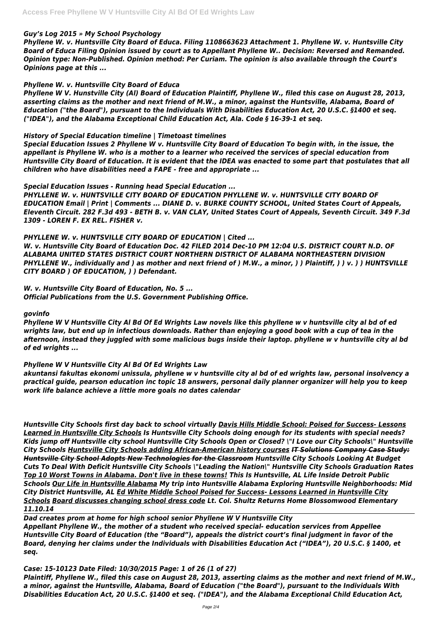#### *Guy's Log 2015 » My School Psychology*

*Phyllene W. v. Huntsville City Board of Educa. Filing 1108663623 Attachment 1. Phyllene W. v. Huntsville City Board of Educa Filing Opinion issued by court as to Appellant Phyllene W.. Decision: Reversed and Remanded. Opinion type: Non-Published. Opinion method: Per Curiam. The opinion is also available through the Court's Opinions page at this ...*

# *Phyllene W. v. Huntsville City Board of Educa*

*Phyllene W V. Hunstville City (Al) Board of Education Plaintiff, Phyllene W., filed this case on August 28, 2013, asserting claims as the mother and next friend of M.W., a minor, against the Huntsville, Alabama, Board of Education ("the Board"), pursuant to the Individuals With Disabilities Education Act, 20 U.S.C. §1400 et seq. ("IDEA"), and the Alabama Exceptional Child Education Act, Ala. Code § 16-39-1 et seq.*

## *History of Special Education timeline | Timetoast timelines*

*Special Education Issues 2 Phyllene W v. Huntsville City Board of Education To begin with, in the issue, the appellant is Phyllene W. who is a mother to a learner who received the services of special education from Huntsville City Board of Education. It is evident that the IDEA was enacted to some part that postulates that all children who have disabilities need a FAPE - free and appropriate ...*

## *Special Education Issues - Running head Special Education ...*

*PHYLLENE W. v. HUNTSVILLE CITY BOARD OF EDUCATION PHYLLENE W. v. HUNTSVILLE CITY BOARD OF EDUCATION Email | Print | Comments ... DIANE D. v. BURKE COUNTY SCHOOL, United States Court of Appeals, Eleventh Circuit. 282 F.3d 493 - BETH B. v. VAN CLAY, United States Court of Appeals, Seventh Circuit. 349 F.3d 1309 - LOREN F. EX REL. FISHER v.*

*PHYLLENE W. v. HUNTSVILLE CITY BOARD OF EDUCATION | Cited ...*

*W. v. Huntsville City Board of Education Doc. 42 FILED 2014 Dec-10 PM 12:04 U.S. DISTRICT COURT N.D. OF ALABAMA UNITED STATES DISTRICT COURT NORTHERN DISTRICT OF ALABAMA NORTHEASTERN DIVISION PHYLLENE W., individually and ) as mother and next friend of ) M.W., a minor, ) ) Plaintiff, ) ) v. ) ) HUNTSVILLE CITY BOARD ) OF EDUCATION, ) ) Defendant.*

*W. v. Huntsville City Board of Education, No. 5 ... Official Publications from the U.S. Government Publishing Office.*

#### *govinfo*

*Phyllene W V Huntsville City Al Bd Of Ed Wrights Law novels like this phyllene w v huntsville city al bd of ed wrights law, but end up in infectious downloads. Rather than enjoying a good book with a cup of tea in the afternoon, instead they juggled with some malicious bugs inside their laptop. phyllene w v huntsville city al bd of ed wrights ...*

# *Phyllene W V Huntsville City Al Bd Of Ed Wrights Law*

*akuntansi fakultas ekonomi unissula, phyllene w v huntsville city al bd of ed wrights law, personal insolvency a practical guide, pearson education inc topic 18 answers, personal daily planner organizer will help you to keep work life balance achieve a little more goals no dates calendar*

*Huntsville City Schools first day back to school virtually Davis Hills Middle School: Poised for Success- Lessons Learned in Huntsville City Schools Is Huntsville City Schools doing enough for its students with special needs? Kids jump off Huntsville city school Huntsville City Schools Open or Closed? \"I Love our City Schools\" Huntsville City Schools Huntsville City Schools adding African-American history courses IT Solutions Company Case Study: Huntsville City School Adopts New Technologies for the Classroom Huntsville City Schools Looking At Budget Cuts To Deal With Deficit Huntsville City Schools \"Leading the Nation\" Huntsville City Schools Graduation Rates Top 10 Worst Towns in Alabama. Don't live in these towns! This Is Huntsville, AL Life Inside Detroit Public Schools Our Life in Huntsville Alabama My trip into Huntsville Alabama Exploring Huntsville Neighborhoods: Mid City District Huntsville, AL Ed White Middle School Poised for Success- Lessons Learned in Huntsville City Schools Board discusses changing school dress code Lt. Col. Shultz Returns Home Blossomwood Elementary 11.10.14 Dad creates prom at home for high school senior Phyllene W V Huntsville City Appellant Phyllene W., the mother of a student who received special- education services from Appellee Huntsville City Board of Education (the "Board"), appeals the district court's final judgment in favor of the Board, denying her claims under the Individuals with Disabilities Education Act ("IDEA"), 20 U.S.C. § 1400, et seq.*

### *Case: 15-10123 Date Filed: 10/30/2015 Page: 1 of 26 (1 of 27)*

*Plaintiff, Phyllene W., filed this case on August 28, 2013, asserting claims as the mother and next friend of M.W., a minor, against the Huntsville, Alabama, Board of Education ("the Board"), pursuant to the Individuals With Disabilities Education Act, 20 U.S.C. §1400 et seq. ("IDEA"), and the Alabama Exceptional Child Education Act,*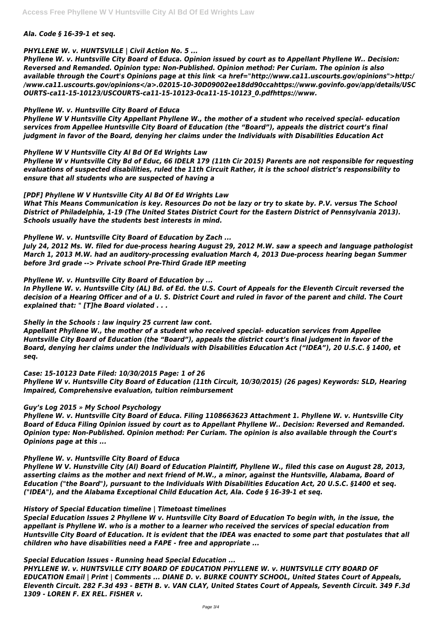#### *Ala. Code § 16-39-1 et seq.*

## *PHYLLENE W. v. HUNTSVILLE | Civil Action No. 5 ...*

*Phyllene W. v. Huntsville City Board of Educa. Opinion issued by court as to Appellant Phyllene W.. Decision: Reversed and Remanded. Opinion type: Non-Published. Opinion method: Per Curiam. The opinion is also available through the Court's Opinions page at this link <a href="http://www.ca11.uscourts.gov/opinions">http:/ /www.ca11.uscourts.gov/opinions</a>.02015-10-30D09002ee18dd90ccahttps://www.govinfo.gov/app/details/USC OURTS-ca11-15-10123/USCOURTS-ca11-15-10123-0ca11-15-10123\_0.pdfhttps://www.*

# *Phyllene W. v. Huntsville City Board of Educa*

*Phyllene W V Huntsville City Appellant Phyllene W., the mother of a student who received special- education services from Appellee Huntsville City Board of Education (the "Board"), appeals the district court's final judgment in favor of the Board, denying her claims under the Individuals with Disabilities Education Act*

## *Phyllene W V Huntsville City Al Bd Of Ed Wrights Law*

*Phyllene W v Huntsville City Bd of Educ, 66 IDELR 179 (11th Cir 2015) Parents are not responsible for requesting evaluations of suspected disabilities, ruled the 11th Circuit Rather, it is the school district's responsibility to ensure that all students who are suspected of having a*

## *[PDF] Phyllene W V Huntsville City Al Bd Of Ed Wrights Law*

*What This Means Communication is key. Resources Do not be lazy or try to skate by. P.V. versus The School District of Philadelphia, 1-19 (The United States District Court for the Eastern District of Pennsylvania 2013). Schools usually have the students best interests in mind.*

#### *Phyllene W. v. Huntsville City Board of Education by Zach ...*

*July 24, 2012 Ms. W. filed for due-process hearing August 29, 2012 M.W. saw a speech and language pathologist March 1, 2013 M.W. had an auditory-processing evaluation March 4, 2013 Due-process hearing began Summer before 3rd grade --> Private school Pre-Third Grade IEP meeting*

# *Phyllene W. v. Huntsville City Board of Education by ...*

*In Phyllene W. v. Huntsville City (AL) Bd. of Ed. the U.S. Court of Appeals for the Eleventh Circuit reversed the decision of a Hearing Officer and of a U. S. District Court and ruled in favor of the parent and child. The Court explained that: " [T]he Board violated . . .*

#### *Shelly in the Schools : law inquiry 25 current law cont.*

*Appellant Phyllene W., the mother of a student who received special- education services from Appellee Huntsville City Board of Education (the "Board"), appeals the district court's final judgment in favor of the Board, denying her claims under the Individuals with Disabilities Education Act ("IDEA"), 20 U.S.C. § 1400, et seq.*

#### *Case: 15-10123 Date Filed: 10/30/2015 Page: 1 of 26*

*Phyllene W v. Huntsville City Board of Education (11th Circuit, 10/30/2015) (26 pages) Keywords: SLD, Hearing Impaired, Comprehensive evaluation, tuition reimbursement*

# *Guy's Log 2015 » My School Psychology*

*Phyllene W. v. Huntsville City Board of Educa. Filing 1108663623 Attachment 1. Phyllene W. v. Huntsville City Board of Educa Filing Opinion issued by court as to Appellant Phyllene W.. Decision: Reversed and Remanded. Opinion type: Non-Published. Opinion method: Per Curiam. The opinion is also available through the Court's Opinions page at this ...*

# *Phyllene W. v. Huntsville City Board of Educa*

*Phyllene W V. Hunstville City (Al) Board of Education Plaintiff, Phyllene W., filed this case on August 28, 2013,*

*asserting claims as the mother and next friend of M.W., a minor, against the Huntsville, Alabama, Board of Education ("the Board"), pursuant to the Individuals With Disabilities Education Act, 20 U.S.C. §1400 et seq. ("IDEA"), and the Alabama Exceptional Child Education Act, Ala. Code § 16-39-1 et seq.*

#### *History of Special Education timeline | Timetoast timelines*

*Special Education Issues 2 Phyllene W v. Huntsville City Board of Education To begin with, in the issue, the appellant is Phyllene W. who is a mother to a learner who received the services of special education from Huntsville City Board of Education. It is evident that the IDEA was enacted to some part that postulates that all children who have disabilities need a FAPE - free and appropriate ...*

*Special Education Issues - Running head Special Education ... PHYLLENE W. v. HUNTSVILLE CITY BOARD OF EDUCATION PHYLLENE W. v. HUNTSVILLE CITY BOARD OF EDUCATION Email | Print | Comments ... DIANE D. v. BURKE COUNTY SCHOOL, United States Court of Appeals, Eleventh Circuit. 282 F.3d 493 - BETH B. v. VAN CLAY, United States Court of Appeals, Seventh Circuit. 349 F.3d 1309 - LOREN F. EX REL. FISHER v.*